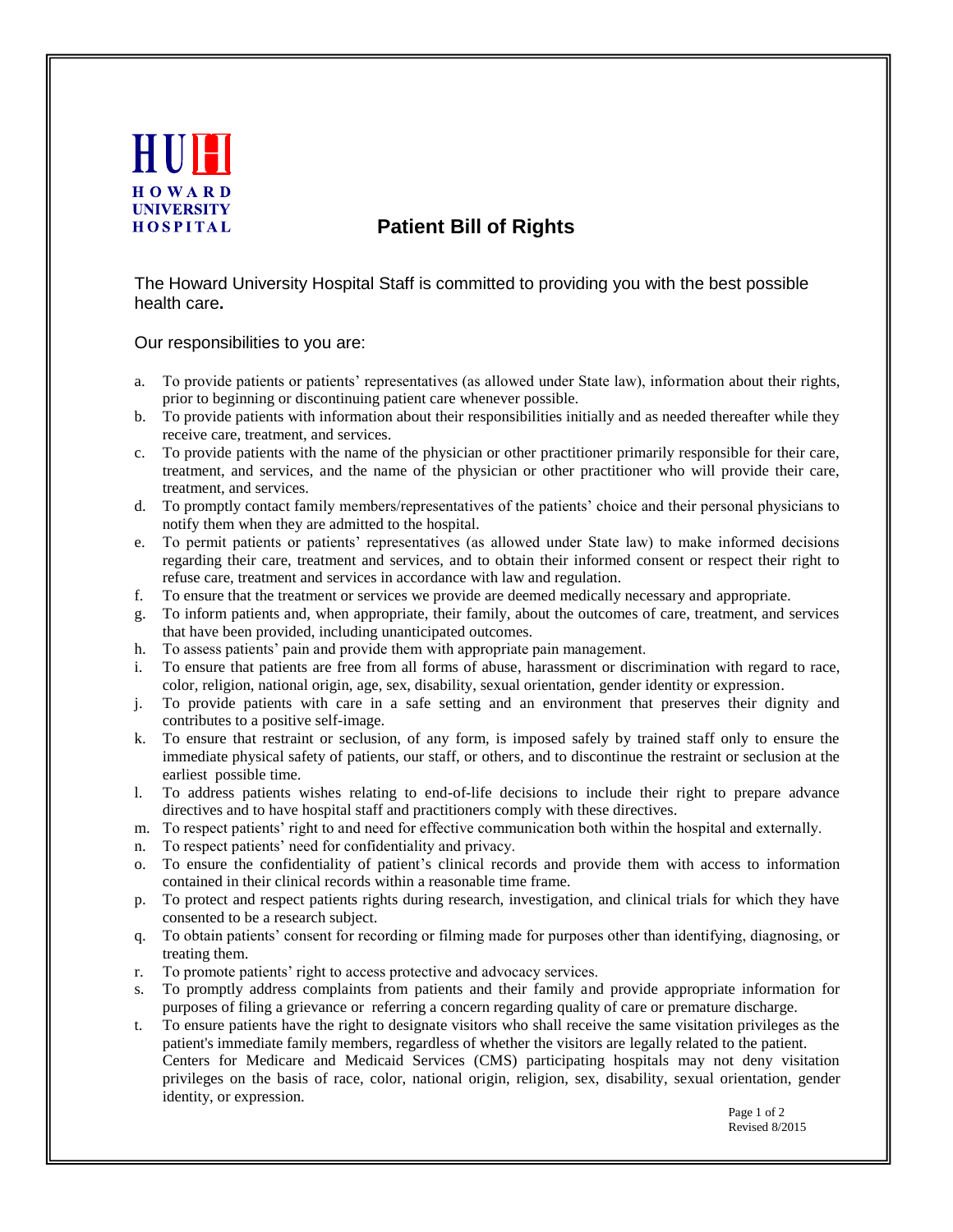

## **Patient Bill of Rights**

The Howard University Hospital Staff is committed to providing you with the best possible health care**.** 

Our responsibilities to you are:

- a. To provide patients or patients' representatives (as allowed under State law), information about their rights, prior to beginning or discontinuing patient care whenever possible.
- b. To provide patients with information about their responsibilities initially and as needed thereafter while they receive care, treatment, and services.
- c. To provide patients with the name of the physician or other practitioner primarily responsible for their care, treatment, and services, and the name of the physician or other practitioner who will provide their care, treatment, and services.
- d. To promptly contact family members/representatives of the patients' choice and their personal physicians to notify them when they are admitted to the hospital.
- e. To permit patients or patients' representatives (as allowed under State law) to make informed decisions regarding their care, treatment and services, and to obtain their informed consent or respect their right to refuse care, treatment and services in accordance with law and regulation.
- f. To ensure that the treatment or services we provide are deemed medically necessary and appropriate.
- g. To inform patients and, when appropriate, their family, about the outcomes of care, treatment, and services that have been provided, including unanticipated outcomes.
- h. To assess patients' pain and provide them with appropriate pain management.
- i. To ensure that patients are free from all forms of abuse, harassment or discrimination with regard to race, color, religion, national origin, age, sex, disability, sexual orientation, gender identity or expression.
- j. To provide patients with care in a safe setting and an environment that preserves their dignity and contributes to a positive self-image.
- k. To ensure that restraint or seclusion, of any form, is imposed safely by trained staff only to ensure the immediate physical safety of patients, our staff, or others, and to discontinue the restraint or seclusion at the earliest possible time.
- l. To address patients wishes relating to end-of-life decisions to include their right to prepare advance directives and to have hospital staff and practitioners comply with these directives.
- m. To respect patients' right to and need for effective communication both within the hospital and externally.
- n. To respect patients' need for confidentiality and privacy.
- o. To ensure the confidentiality of patient's clinical records and provide them with access to information contained in their clinical records within a reasonable time frame.
- p. To protect and respect patients rights during research, investigation, and clinical trials for which they have consented to be a research subject.
- q. To obtain patients' consent for recording or filming made for purposes other than identifying, diagnosing, or treating them.
- r. To promote patients' right to access protective and advocacy services.
- s. To promptly address complaints from patients and their family and provide appropriate information for purposes of filing a grievance or referring a concern regarding quality of care or premature discharge.
- t. To ensure patients have the right to designate visitors who shall receive the same visitation privileges as the patient's immediate family members, regardless of whether the visitors are legally related to the patient. Centers for Medicare and Medicaid Services (CMS) participating hospitals may not deny visitation privileges on the basis of race, color, national origin, religion, sex, disability, sexual orientation, gender identity, or expression.